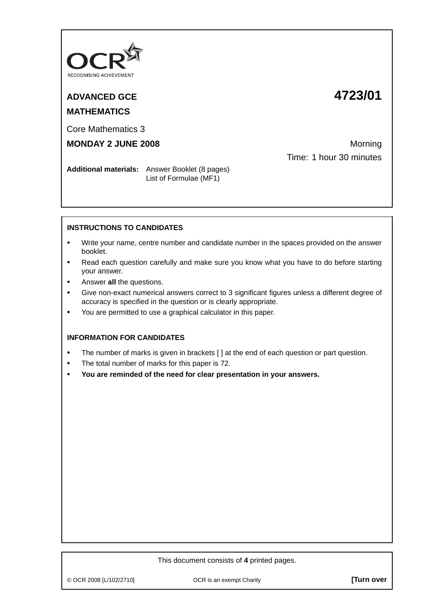

# **ADVANCED GCE 4723/01**

# **MATHEMATICS**

Core Mathematics 3

# **MONDAY 2 JUNE 2008** Morning

Time: 1 hour 30 minutes

**Additional materials:** Answer Booklet (8 pages) List of Formulae (MF1)

## **INSTRUCTIONS TO CANDIDATES**

- **•** Write your name, centre number and candidate number in the spaces provided on the answer booklet.
- **•** Read each question carefully and make sure you know what you have to do before starting your answer.
- **•** Answer **all** the questions.
- **•** Give non-exact numerical answers correct to 3 significant figures unless a different degree of accuracy is specified in the question or is clearly appropriate.
- **•** You are permitted to use a graphical calculator in this paper.

### **INFORMATION FOR CANDIDATES**

- The number of marks is given in brackets [ ] at the end of each question or part question.
- **•** The total number of marks for this paper is 72.
- **• You are reminded of the need for clear presentation in your answers.**

#### This document consists of **4** printed pages.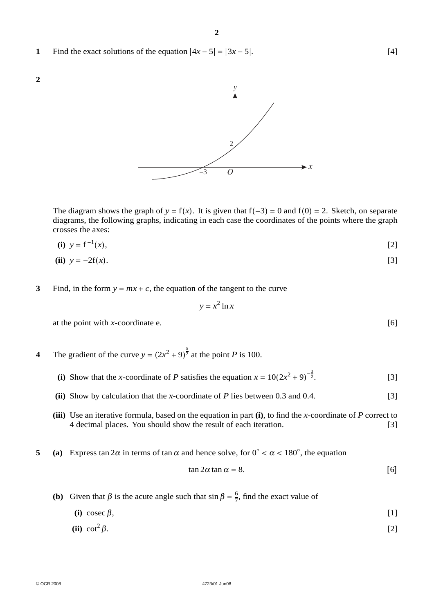**1** Find the exact solutions of the equation  $|4x - 5| = |3x - 5|$ . [4]



crosses the axes:  $\mathbf{r} = \mathbf{r} - \mathbf{r}$ 

(i) 
$$
y = f^{-1}(x)
$$
, [2]

(ii) 
$$
y = -2f(x)
$$
. [3]

**3** Find, in the form  $y = mx + c$ , the equation of the tangent to the curve

$$
y = x^2 \ln x
$$

at the point with *x*-coordinate e.  $[6]$ 

- **4** The gradient of the curve  $y = (2x^2 + 9)^{\frac{5}{2}}$  at the point *P* is 100.
	- (i) Show that the *x*-coordinate of *P* satisfies the equation  $x = 10(2x^2 + 9)^{-\frac{3}{2}}$  $[3]$
	- **(ii)** Show by calculation that the *x*-coordinate of *P* lies between 0.3 and 0.4. [3]
	- **(iii)** Use an iterative formula, based on the equation in part **(i)**, to find the *x*-coordinate of *P* correct to 4 decimal places. You should show the result of each iteration. [3]
- **5** (a) Express tan  $2\alpha$  in terms of tan  $\alpha$  and hence solve, for  $0° < \alpha < 180°$ , the equation

$$
\tan 2\alpha \tan \alpha = 8. \tag{6}
$$

- **(b)** Given that  $\beta$  is the acute angle such that  $\sin \beta = \frac{6}{7}$ , find the exact value of
	- (i) cosec  $\beta$ , [1]
	- (ii) cot<sup>2</sup>  $\beta$ . [2]

**2**

*O*  $\rightarrow x$ *y*  $\mathcal{D}$ –3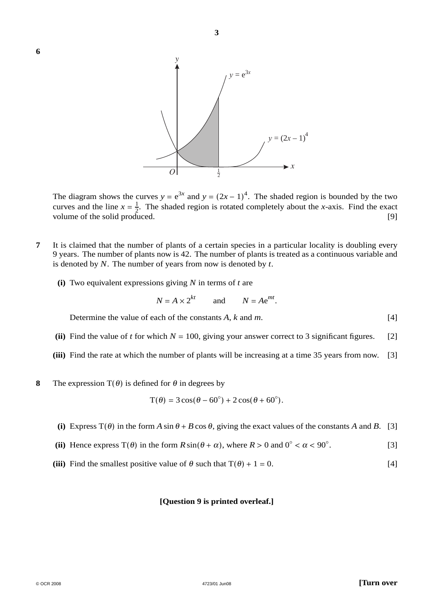

The diagram shows the curves  $y = e^{3x}$  and  $y = (2x - 1)^4$ . The shaded region is bounded by the two curves and the line  $x = \frac{1}{2}$ . The shaded region is rotated completely about the *x*-axis. Find the exact volume of the solid produced. [9]

- **7** It is claimed that the number of plants of a certain species in a particular locality is doubling every 9 years. The number of plants now is 42. The number of plants is treated as a continuous variable and is denoted by *N*. The number of years from now is denoted by *t*.
	- **(i)** Two equivalent expressions giving *N* in terms of *t* are

$$
N = A \times 2^{kt}
$$
 and  $N = Ae^{mt}$ .

Determine the value of each of the constants *A*, *k* and *m*. [4]

- (ii) Find the value of *t* for which  $N = 100$ , giving your answer correct to 3 significant figures. [2]
- **(iii)** Find the rate at which the number of plants will be increasing at a time 35 years from now. [3]
- **8** The expression  $T(\theta)$  is defined for  $\theta$  in degrees by

$$
T(\theta) = 3\cos(\theta - 60^\circ) + 2\cos(\theta + 60^\circ).
$$

- (i) Express  $T(\theta)$  in the form *A* sin  $\theta$  + *B* cos  $\theta$ , giving the exact values of the constants *A* and *B*. [3]
- (ii) Hence express  $T(\theta)$  in the form  $R \sin(\theta + \alpha)$ , where  $R > 0$  and  $0° < \alpha < 90°$ . . [3]
- (iii) Find the smallest positive value of  $\theta$  such that  $T(\theta) + 1 = 0$ . [4]

#### **[Question 9 is printed overleaf.]**

**6**

 $\circ$  OCR 2008  $\qquad \qquad$  **[Turn over**